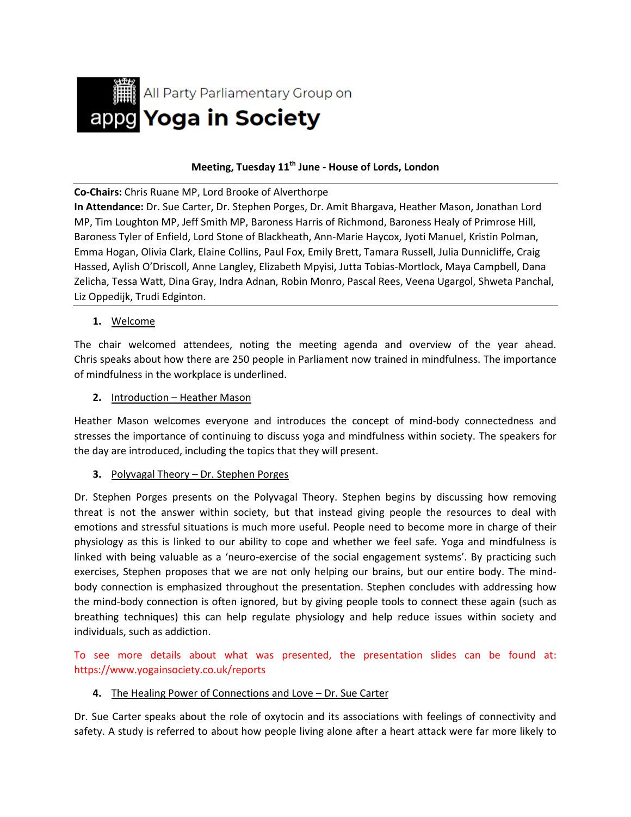

# **Meeting, Tuesday 11th June - House of Lords, London**

**Co-Chairs:** Chris Ruane MP, Lord Brooke of Alverthorpe

**In Attendance:** Dr. Sue Carter, Dr. Stephen Porges, Dr. Amit Bhargava, Heather Mason, Jonathan Lord MP, Tim Loughton MP, Jeff Smith MP, Baroness Harris of Richmond, Baroness Healy of Primrose Hill, Baroness Tyler of Enfield, Lord Stone of Blackheath, Ann-Marie Haycox, Jyoti Manuel, Kristin Polman, Emma Hogan, Olivia Clark, Elaine Collins, Paul Fox, Emily Brett, Tamara Russell, Julia Dunnicliffe, Craig Hassed, Aylish O'Driscoll, Anne Langley, Elizabeth Mpyisi, Jutta Tobias-Mortlock, Maya Campbell, Dana Zelicha, Tessa Watt, Dina Gray, Indra Adnan, Robin Monro, Pascal Rees, Veena Ugargol, Shweta Panchal, Liz Oppedijk, Trudi Edginton.

**1.** Welcome

The chair welcomed attendees, noting the meeting agenda and overview of the year ahead. Chris speaks about how there are 250 people in Parliament now trained in mindfulness. The importance of mindfulness in the workplace is underlined.

**2.** Introduction – Heather Mason

Heather Mason welcomes everyone and introduces the concept of mind-body connectedness and stresses the importance of continuing to discuss yoga and mindfulness within society. The speakers for the day are introduced, including the topics that they will present.

### **3.** Polyvagal Theory – Dr. Stephen Porges

Dr. Stephen Porges presents on the Polyvagal Theory. Stephen begins by discussing how removing threat is not the answer within society, but that instead giving people the resources to deal with emotions and stressful situations is much more useful. People need to become more in charge of their physiology as this is linked to our ability to cope and whether we feel safe. Yoga and mindfulness is linked with being valuable as a 'neuro-exercise of the social engagement systems'. By practicing such exercises, Stephen proposes that we are not only helping our brains, but our entire body. The mindbody connection is emphasized throughout the presentation. Stephen concludes with addressing how the mind-body connection is often ignored, but by giving people tools to connect these again (such as breathing techniques) this can help regulate physiology and help reduce issues within society and individuals, such as addiction.

To see more details about what was presented, the presentation slides can be found at: https://www.yogainsociety.co.uk/reports

### **4.** The Healing Power of Connections and Love – Dr. Sue Carter

Dr. Sue Carter speaks about the role of oxytocin and its associations with feelings of connectivity and safety. A study is referred to about how people living alone after a heart attack were far more likely to